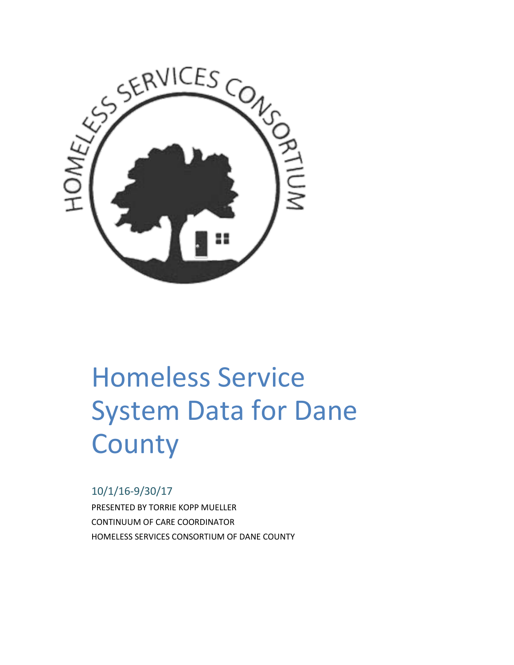

# Homeless Service System Data for Dane **County**

## 10/1/16-9/30/17

PRESENTED BY TORRIE KOPP MUELLER CONTINUUM OF CARE COORDINATOR HOMELESS SERVICES CONSORTIUM OF DANE COUNTY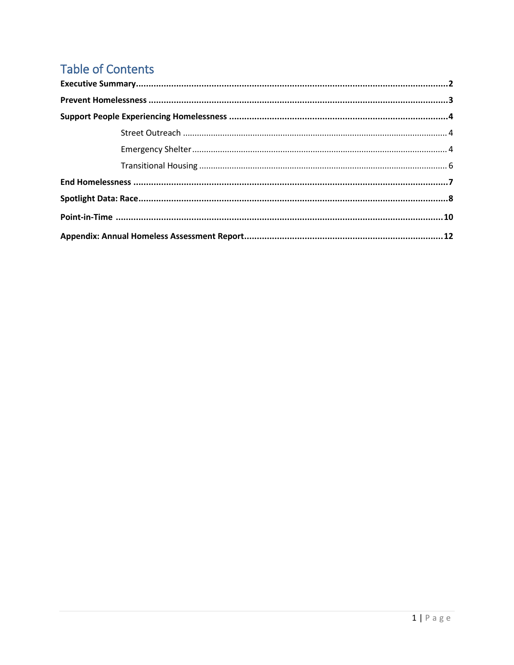## **Table of Contents**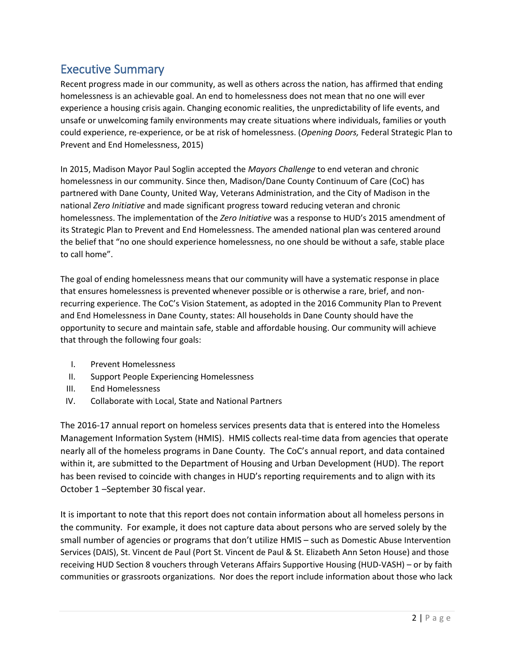## Executive Summary

Recent progress made in our community, as well as others across the nation, has affirmed that ending homelessness is an achievable goal. An end to homelessness does not mean that no one will ever experience a housing crisis again. Changing economic realities, the unpredictability of life events, and unsafe or unwelcoming family environments may create situations where individuals, families or youth could experience, re-experience, or be at risk of homelessness. (*Opening Doors,* Federal Strategic Plan to Prevent and End Homelessness, 2015)

In 2015, Madison Mayor Paul Soglin accepted the *Mayors Challenge* to end veteran and chronic homelessness in our community. Since then, Madison/Dane County Continuum of Care (CoC) has partnered with Dane County, United Way, Veterans Administration, and the City of Madison in the national *Zero Initiative* and made significant progress toward reducing veteran and chronic homelessness. The implementation of the *Zero Initiative* was a response to HUD's 2015 amendment of its Strategic Plan to Prevent and End Homelessness. The amended national plan was centered around the belief that "no one should experience homelessness, no one should be without a safe, stable place to call home".

The goal of ending homelessness means that our community will have a systematic response in place that ensures homelessness is prevented whenever possible or is otherwise a rare, brief, and nonrecurring experience. The CoC's Vision Statement, as adopted in the 2016 Community Plan to Prevent and End Homelessness in Dane County, states: All households in Dane County should have the opportunity to secure and maintain safe, stable and affordable housing. Our community will achieve that through the following four goals:

- I. Prevent Homelessness
- II. Support People Experiencing Homelessness
- III. End Homelessness
- IV. Collaborate with Local, State and National Partners

The 2016-17 annual report on homeless services presents data that is entered into the Homeless Management Information System (HMIS). HMIS collects real-time data from agencies that operate nearly all of the homeless programs in Dane County. The CoC's annual report, and data contained within it, are submitted to the Department of Housing and Urban Development (HUD). The report has been revised to coincide with changes in HUD's reporting requirements and to align with its October 1 –September 30 fiscal year.

It is important to note that this report does not contain information about all homeless persons in the community. For example, it does not capture data about persons who are served solely by the small number of agencies or programs that don't utilize HMIS – such as Domestic Abuse Intervention Services (DAIS), St. Vincent de Paul (Port St. Vincent de Paul & St. Elizabeth Ann Seton House) and those receiving HUD Section 8 vouchers through Veterans Affairs Supportive Housing (HUD-VASH) – or by faith communities or grassroots organizations. Nor does the report include information about those who lack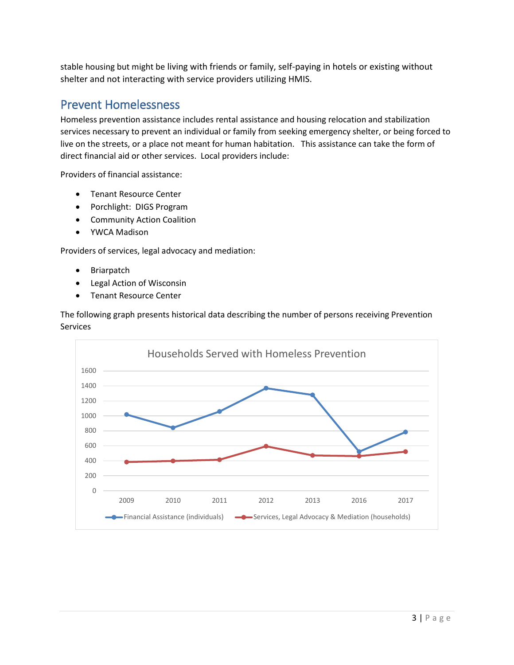stable housing but might be living with friends or family, self-paying in hotels or existing without shelter and not interacting with service providers utilizing HMIS.

### Prevent Homelessness

Homeless prevention assistance includes rental assistance and housing relocation and stabilization services necessary to prevent an individual or family from seeking emergency shelter, or being forced to live on the streets, or a place not meant for human habitation. This assistance can take the form of direct financial aid or other services. Local providers include:

Providers of financial assistance:

- **•** Tenant Resource Center
- Porchlight: DIGS Program
- Community Action Coalition
- YWCA Madison

Providers of services, legal advocacy and mediation:

- Briarpatch
- Legal Action of Wisconsin
- **•** Tenant Resource Center

The following graph presents historical data describing the number of persons receiving Prevention Services

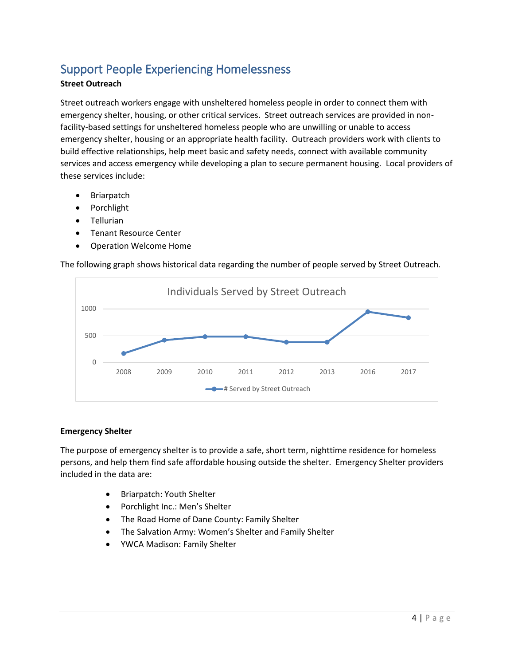## Support People Experiencing Homelessness

#### **Street Outreach**

Street outreach workers engage with unsheltered homeless people in order to connect them with emergency shelter, housing, or other critical services. Street outreach services are provided in nonfacility-based settings for unsheltered homeless people who are unwilling or unable to access emergency shelter, housing or an appropriate health facility. Outreach providers work with clients to build effective relationships, help meet basic and safety needs, connect with available community services and access emergency while developing a plan to secure permanent housing. Local providers of these services include:

- Briarpatch
- Porchlight
- Tellurian
- **•** Tenant Resource Center
- Operation Welcome Home

0 500 1000 2008 2009 2010 2011 2012 2013 2016 2017 Individuals Served by Street Outreach  $\longrightarrow$ # Served by Street Outreach

The following graph shows historical data regarding the number of people served by Street Outreach.

#### **Emergency Shelter**

The purpose of emergency shelter is to provide a safe, short term, nighttime residence for homeless persons, and help them find safe affordable housing outside the shelter. Emergency Shelter providers included in the data are:

- Briarpatch: Youth Shelter
- Porchlight Inc.: Men's Shelter
- The Road Home of Dane County: Family Shelter
- The Salvation Army: Women's Shelter and Family Shelter
- YWCA Madison: Family Shelter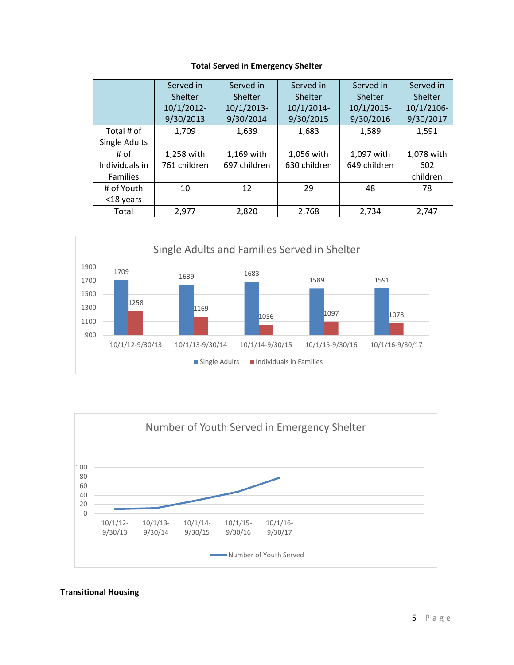#### **Total Served in Emergency Shelter**

| Served in       |               | Served in      | Served in      | Served in     | Served in  |
|-----------------|---------------|----------------|----------------|---------------|------------|
|                 | Shelter       | <b>Shelter</b> | <b>Shelter</b> | Shelter       | Shelter    |
|                 | $10/1/2012$ - | $10/1/2013$ -  | 10/1/2014-     | $10/1/2015$ - | 10/1/2106- |
|                 | 9/30/2013     | 9/30/2014      | 9/30/2015      | 9/30/2016     | 9/30/2017  |
| Total # of      | 1,709         | 1,639          | 1,683          | 1,589         | 1,591      |
| Single Adults   |               |                |                |               |            |
| # $of$          | 1,258 with    | 1,169 with     | 1,056 with     | 1,097 with    | 1,078 with |
| Individuals in  | 761 children  | 697 children   | 630 children   | 649 children  | 602        |
| <b>Families</b> |               |                |                |               | children   |
| # of Youth      | 10            | 12             | 29             | 48            | 78         |
| <18 years       |               |                |                |               |            |
| Total           | 2.977         | 2,820          | 2.768          | 2.734         | 2,747      |





#### **Transitional Housing**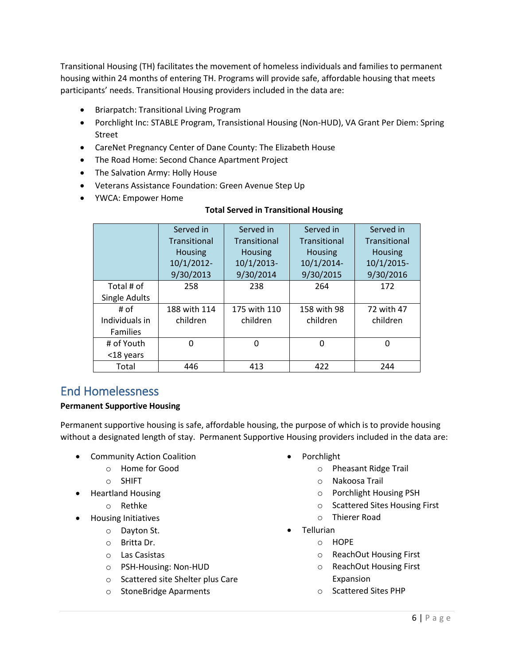Transitional Housing (TH) facilitates the movement of homeless individuals and families to permanent housing within 24 months of entering TH. Programs will provide safe, affordable housing that meets participants' needs. Transitional Housing providers included in the data are:

- Briarpatch: Transitional Living Program
- Porchlight Inc: STABLE Program, Transistional Housing (Non-HUD), VA Grant Per Diem: Spring Street
- CareNet Pregnancy Center of Dane County: The Elizabeth House
- The Road Home: Second Chance Apartment Project
- The Salvation Army: Holly House
- Veterans Assistance Foundation: Green Avenue Step Up
- YWCA: Empower Home

#### **Total Served in Transitional Housing**

|                 | Served in      | Served in           | Served in           | Served in      |
|-----------------|----------------|---------------------|---------------------|----------------|
|                 | Transitional   | <b>Transitional</b> | <b>Transitional</b> | Transitional   |
|                 | <b>Housing</b> | Housing             | <b>Housing</b>      | <b>Housing</b> |
|                 | 10/1/2012-     | $10/1/2013$ -       | 10/1/2014-          | 10/1/2015-     |
|                 | 9/30/2013      | 9/30/2014           | 9/30/2015           | 9/30/2016      |
| Total # of      | 258            | 238                 | 264                 | 172            |
| Single Adults   |                |                     |                     |                |
| # $of$          | 188 with 114   | 175 with 110        | 158 with 98         | 72 with 47     |
| Individuals in  | children       | children            | children            | children       |
| <b>Families</b> |                |                     |                     |                |
| # of Youth      | $\Omega$       | N                   | 0                   | 0              |
| <18 years       |                |                     |                     |                |
| Total           | 446            | 413                 | 422                 | 244            |

## End Homelessness

#### **Permanent Supportive Housing**

Permanent supportive housing is safe, affordable housing, the purpose of which is to provide housing without a designated length of stay. Permanent Supportive Housing providers included in the data are:

- **•** Community Action Coalition
	- o Home for Good
		- o SHIFT
- Heartland Housing
	- o Rethke
- Housing Initiatives
	- o Dayton St.
	- o Britta Dr.
	- o Las Casistas
	- o PSH-Housing: Non-HUD
	- o Scattered site Shelter plus Care
	- o StoneBridge Aparments
- Porchlight
	- o Pheasant Ridge Trail
		- o Nakoosa Trail
		- o Porchlight Housing PSH
		- o Scattered Sites Housing First
	- o Thierer Road
- Tellurian
	- o HOPE
	- o ReachOut Housing First
	- o ReachOut Housing First Expansion
	- o Scattered Sites PHP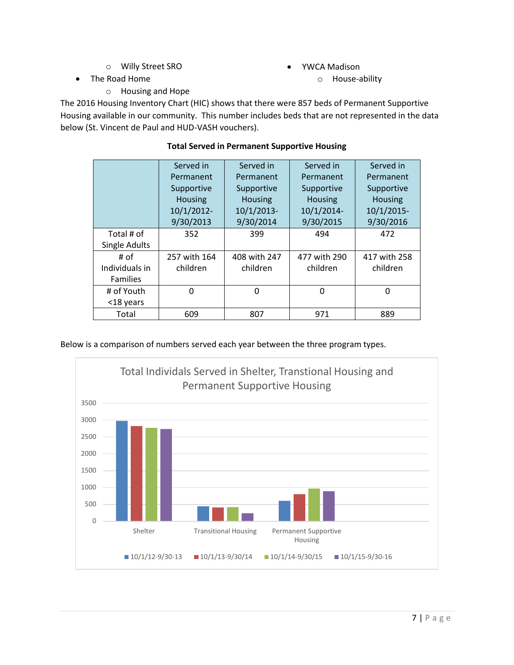o Willy Street SRO

YWCA Madison

The Road Home

- - o House-ability

o Housing and Hope

The 2016 Housing Inventory Chart (HIC) shows that there were 857 beds of Permanent Supportive Housing available in our community. This number includes beds that are not represented in the data below (St. Vincent de Paul and HUD-VASH vouchers).

|                | Served in      | Served in      | Served in      | Served in      |
|----------------|----------------|----------------|----------------|----------------|
|                | Permanent      | Permanent      | Permanent      | Permanent      |
|                | Supportive     | Supportive     | Supportive     | Supportive     |
|                | <b>Housing</b> | <b>Housing</b> | <b>Housing</b> | <b>Housing</b> |
|                | 10/1/2012-     | $10/1/2013$ -  | 10/1/2014-     | $10/1/2015$ -  |
|                | 9/30/2013      | 9/30/2014      | 9/30/2015      | 9/30/2016      |
| Total # of     | 352            | 399            | 494            | 472            |
| Single Adults  |                |                |                |                |
| # $of$         | 257 with 164   | 408 with 247   | 477 with 290   | 417 with 258   |
| Individuals in | children       | children       | children       | children       |
| Families       |                |                |                |                |
| # of Youth     | 0              | 0              | $\Omega$       | 0              |
| <18 years      |                |                |                |                |
| Total          | 609            | 807            | 971            | 889            |

#### **Total Served in Permanent Supportive Housing**

#### Below is a comparison of numbers served each year between the three program types.

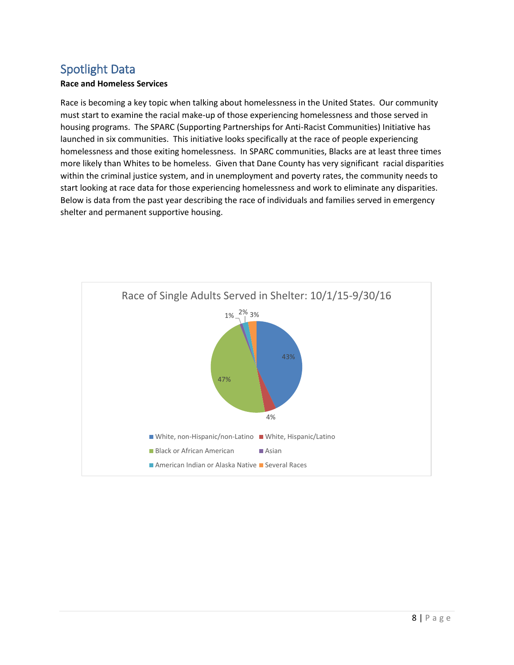## Spotlight Data

#### **Race and Homeless Services**

Race is becoming a key topic when talking about homelessness in the United States. Our community must start to examine the racial make-up of those experiencing homelessness and those served in housing programs. The SPARC (Supporting Partnerships for Anti-Racist Communities) Initiative has launched in six communities. This initiative looks specifically at the race of people experiencing homelessness and those exiting homelessness. In SPARC communities, Blacks are at least three times more likely than Whites to be homeless. Given that Dane County has very significant racial disparities within the criminal justice system, and in unemployment and poverty rates, the community needs to start looking at race data for those experiencing homelessness and work to eliminate any disparities. Below is data from the past year describing the race of individuals and families served in emergency shelter and permanent supportive housing.

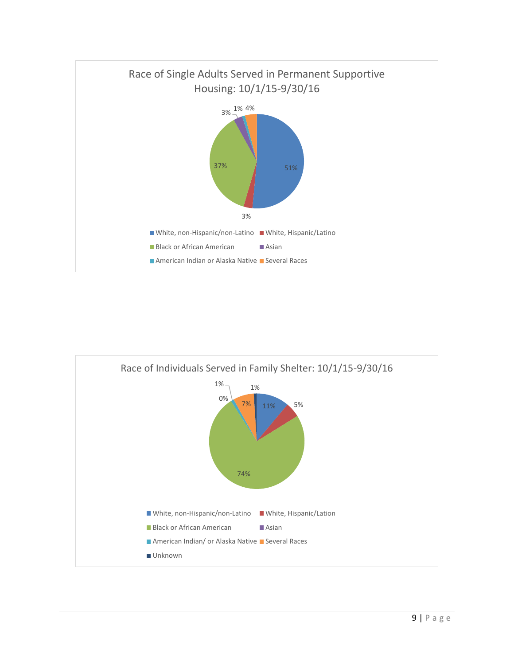

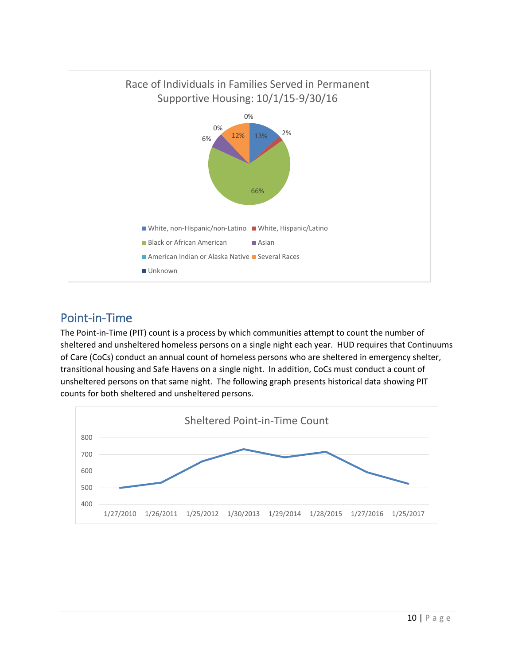

## Point-in-Time

The Point-in-Time (PIT) count is a process by which communities attempt to count the number of sheltered and unsheltered homeless persons on a single night each year. HUD requires that Continuums of Care (CoCs) conduct an annual count of homeless persons who are sheltered in emergency shelter, transitional housing and Safe Havens on a single night. In addition, CoCs must conduct a count of unsheltered persons on that same night. The following graph presents historical data showing PIT counts for both sheltered and unsheltered persons.